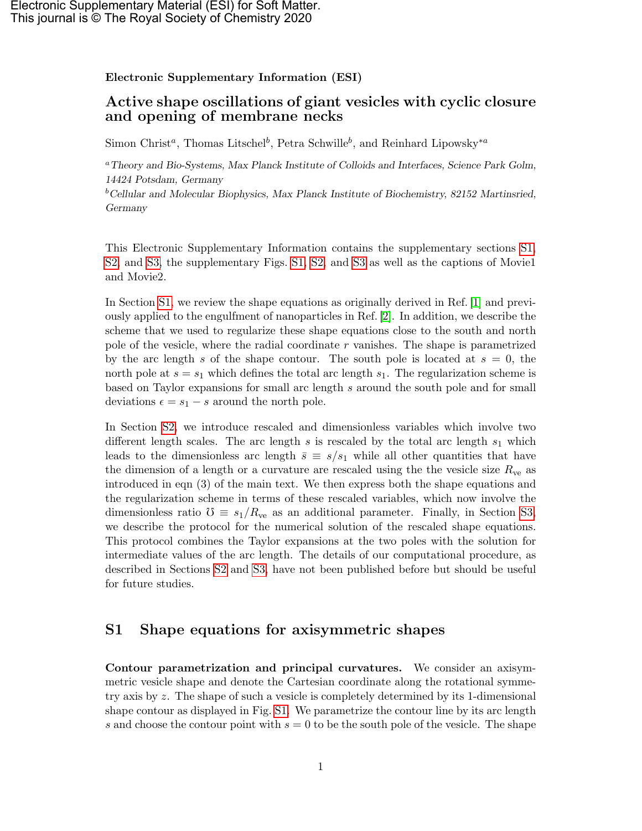#### Electronic Supplementary Information (ESI)

## Active shape oscillations of giant vesicles with cyclic closure and opening of membrane necks

Simon Christ<sup>a</sup>, Thomas Litschel<sup>b</sup>, Petra Schwille<sup>b</sup>, and Reinhard Lipowsky<sup>\*a</sup>

<sup>a</sup>Theory and Bio-Systems, Max Planck Institute of Colloids and Interfaces, Science Park Golm, 14424 Potsdam, Germany  $b$ Cellular and Molecular Biophysics, Max Planck Institute of Biochemistry, 82152 Martinsried,

Germany

This Electronic Supplementary Information contains the supplementary sections [S1,](#page-0-0) [S2,](#page-6-0) and [S3,](#page-10-0) the supplementary Figs. [S1,](#page-1-0) [S2,](#page-12-0) and [S3](#page-13-0) as well as the captions of Movie1 and Movie2.

In Section [S1,](#page-0-0) we review the shape equations as originally derived in Ref. [\[1\]](#page-11-0) and previously applied to the engulfment of nanoparticles in Ref. [\[2\]](#page-11-1). In addition, we describe the scheme that we used to regularize these shape equations close to the south and north pole of the vesicle, where the radial coordinate  $r$  vanishes. The shape is parametrized by the arc length s of the shape contour. The south pole is located at  $s = 0$ , the north pole at  $s = s_1$  which defines the total arc length  $s_1$ . The regularization scheme is based on Taylor expansions for small arc length s around the south pole and for small deviations  $\epsilon = s_1 - s$  around the north pole.

In Section [S2,](#page-6-0) we introduce rescaled and dimensionless variables which involve two different length scales. The arc length s is rescaled by the total arc length  $s_1$  which leads to the dimensionless arc length  $\bar{s} \equiv s/s_1$  while all other quantities that have the dimension of a length or a curvature are rescaled using the the vesicle size  $R_{\rm ve}$  as introduced in eqn (3) of the main text. We then express both the shape equations and the regularization scheme in terms of these rescaled variables, which now involve the dimensionless ratio  $\mathcal{O} \equiv s_1/R_{\text{ve}}$  as an additional parameter. Finally, in Section [S3,](#page-10-0) we describe the protocol for the numerical solution of the rescaled shape equations. This protocol combines the Taylor expansions at the two poles with the solution for intermediate values of the arc length. The details of our computational procedure, as described in Sections [S2](#page-6-0) and [S3,](#page-10-0) have not been published before but should be useful for future studies.

# <span id="page-0-0"></span>S1 Shape equations for axisymmetric shapes

Contour parametrization and principal curvatures. We consider an axisymmetric vesicle shape and denote the Cartesian coordinate along the rotational symmetry axis by z. The shape of such a vesicle is completely determined by its 1-dimensional shape contour as displayed in Fig. [S1.](#page-1-0) We parametrize the contour line by its arc length s and choose the contour point with  $s = 0$  to be the south pole of the vesicle. The shape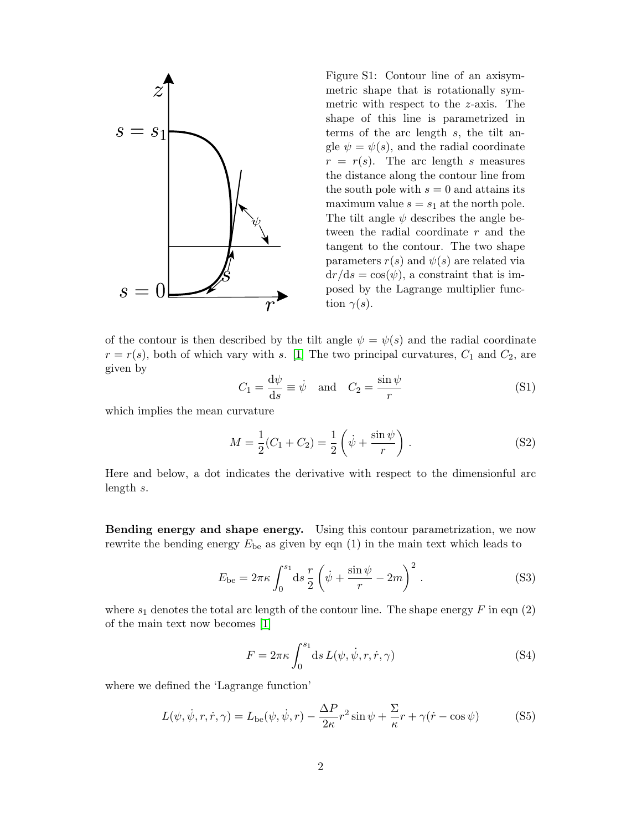<span id="page-1-0"></span>

Figure S1: Contour line of an axisymmetric shape that is rotationally symmetric with respect to the z-axis. The shape of this line is parametrized in terms of the arc length s, the tilt angle  $\psi = \psi(s)$ , and the radial coordinate  $r = r(s)$ . The arc length s measures the distance along the contour line from the south pole with  $s = 0$  and attains its maximum value  $s = s_1$  at the north pole. The tilt angle  $\psi$  describes the angle between the radial coordinate r and the tangent to the contour. The two shape parameters  $r(s)$  and  $\psi(s)$  are related via  $dr/ds = cos(\psi)$ , a constraint that is imposed by the Lagrange multiplier function  $\gamma(s)$ .

of the contour is then described by the tilt angle  $\psi = \psi(s)$  and the radial coordinate  $r = r(s)$ , both of which vary with s. [\[1\]](#page-11-0) The two principal curvatures,  $C_1$  and  $C_2$ , are given by

$$
C_1 = \frac{\mathrm{d}\psi}{\mathrm{d}s} \equiv \dot{\psi} \quad \text{and} \quad C_2 = \frac{\sin\psi}{r} \tag{S1}
$$

which implies the mean curvature

$$
M = \frac{1}{2}(C_1 + C_2) = \frac{1}{2}\left(\dot{\psi} + \frac{\sin\psi}{r}\right).
$$
 (S2)

Here and below, a dot indicates the derivative with respect to the dimensionful arc length s.

Bending energy and shape energy. Using this contour parametrization, we now rewrite the bending energy  $E_{be}$  as given by eqn (1) in the main text which leads to

$$
E_{\text{be}} = 2\pi\kappa \int_0^{s_1} ds \frac{r}{2} \left( \dot{\psi} + \frac{\sin \psi}{r} - 2m \right)^2.
$$
 (S3)

where  $s_1$  denotes the total arc length of the contour line. The shape energy  $F$  in eqn (2) of the main text now becomes [\[1\]](#page-11-0)

<span id="page-1-1"></span>
$$
F = 2\pi\kappa \int_0^{s_1} ds \, L(\psi, \dot{\psi}, r, \dot{r}, \gamma) \tag{S4}
$$

where we defined the 'Lagrange function'

$$
L(\psi, \dot{\psi}, r, \dot{r}, \gamma) = L_{\text{be}}(\psi, \dot{\psi}, r) - \frac{\Delta P}{2\kappa} r^2 \sin \psi + \frac{\Sigma}{\kappa} r + \gamma(\dot{r} - \cos \psi)
$$
(S5)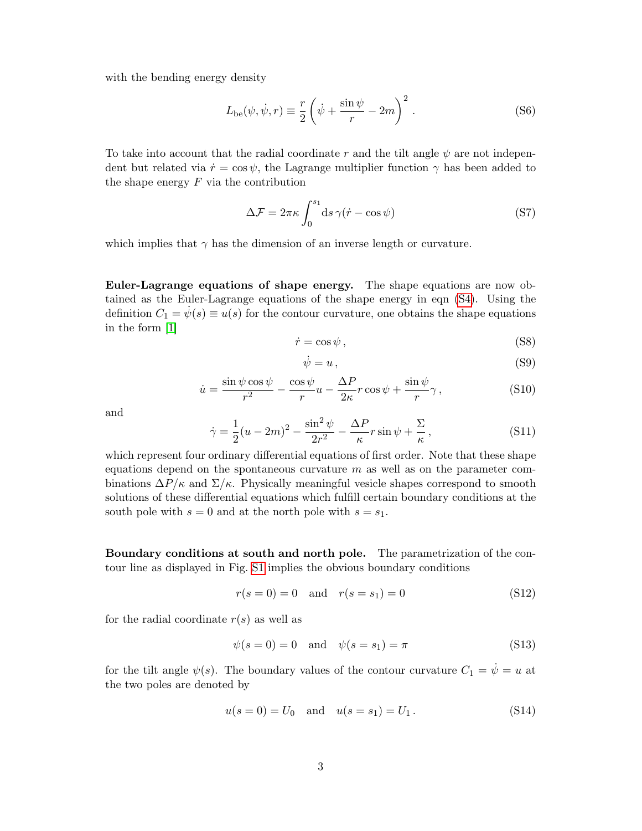with the bending energy density

$$
L_{\text{be}}(\psi, \dot{\psi}, r) \equiv \frac{r}{2} \left( \dot{\psi} + \frac{\sin \psi}{r} - 2m \right)^2.
$$
 (S6)

To take into account that the radial coordinate r and the tilt angle  $\psi$  are not independent but related via  $\dot{r} = \cos \psi$ , the Lagrange multiplier function  $\gamma$  has been added to the shape energy  $F$  via the contribution

$$
\Delta \mathcal{F} = 2\pi \kappa \int_0^{s_1} \mathrm{d}s \,\gamma(\dot{r} - \cos\psi) \tag{S7}
$$

which implies that  $\gamma$  has the dimension of an inverse length or curvature.

Euler-Lagrange equations of shape energy. The shape equations are now obtained as the Euler-Lagrange equations of the shape energy in eqn [\(S4\)](#page-1-1). Using the definition  $C_1 = \dot{\psi}(s) \equiv u(s)$  for the contour curvature, one obtains the shape equations in the form [\[1\]](#page-11-0)

<span id="page-2-3"></span>
$$
\dot{r} = \cos \psi \,,\tag{S8}
$$

$$
\dot{\psi} = u \,,\tag{S9}
$$

<span id="page-2-0"></span>
$$
\dot{u} = \frac{\sin\psi\cos\psi}{r^2} - \frac{\cos\psi}{r}u - \frac{\Delta P}{2\kappa}r\cos\psi + \frac{\sin\psi}{r}\gamma,
$$
\n(S10)

and

<span id="page-2-1"></span>
$$
\dot{\gamma} = \frac{1}{2}(u - 2m)^2 - \frac{\sin^2\psi}{2r^2} - \frac{\Delta P}{\kappa}r\sin\psi + \frac{\Sigma}{\kappa},\tag{S11}
$$

which represent four ordinary differential equations of first order. Note that these shape equations depend on the spontaneous curvature  $m$  as well as on the parameter combinations  $\Delta P/\kappa$  and  $\Sigma/\kappa$ . Physically meaningful vesicle shapes correspond to smooth solutions of these differential equations which fulfill certain boundary conditions at the south pole with  $s = 0$  and at the north pole with  $s = s_1$ .

Boundary conditions at south and north pole. The parametrization of the contour line as displayed in Fig. [S1](#page-1-0) implies the obvious boundary conditions

$$
r(s = 0) = 0 \text{ and } r(s = s_1) = 0
$$
 (S12)

for the radial coordinate  $r(s)$  as well as

$$
\psi(s=0) = 0 \quad \text{and} \quad \psi(s=s_1) = \pi \tag{S13}
$$

for the tilt angle  $\psi(s)$ . The boundary values of the contour curvature  $C_1 = \dot{\psi} = u$  at the two poles are denoted by

<span id="page-2-2"></span>
$$
u(s = 0) = U_0
$$
 and  $u(s = s_1) = U_1$ . (S14)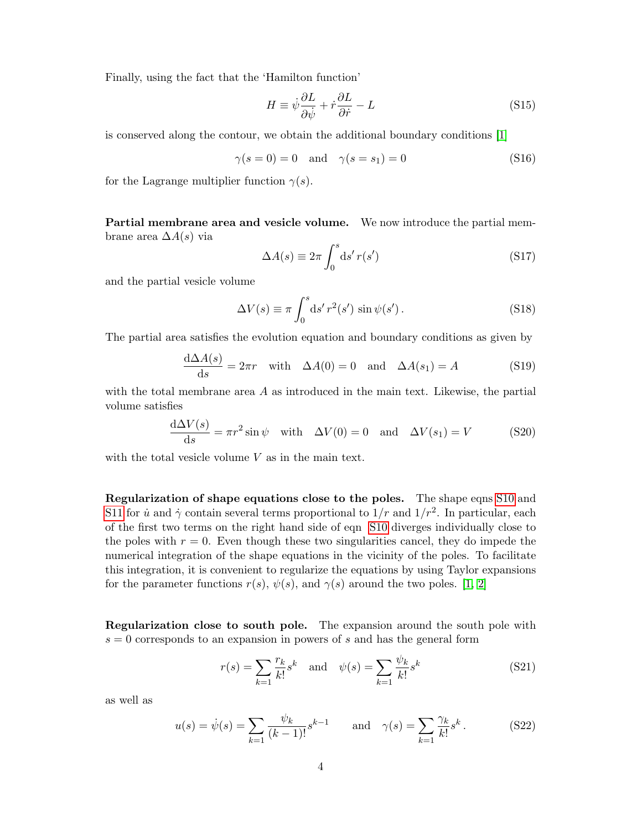Finally, using the fact that the 'Hamilton function'

$$
H \equiv \dot{\psi} \frac{\partial L}{\partial \dot{\psi}} + \dot{r} \frac{\partial L}{\partial \dot{r}} - L \tag{S15}
$$

is conserved along the contour, we obtain the additional boundary conditions [\[1\]](#page-11-0)

$$
\gamma(s=0) = 0 \quad \text{and} \quad \gamma(s=s_1) = 0 \tag{S16}
$$

for the Lagrange multiplier function  $\gamma(s)$ .

Partial membrane area and vesicle volume. We now introduce the partial membrane area  $\Delta A(s)$  via

$$
\Delta A(s) \equiv 2\pi \int_0^s \mathrm{d}s' \, r(s') \tag{S17}
$$

and the partial vesicle volume

$$
\Delta V(s) \equiv \pi \int_0^s \mathrm{d}s' \, r^2(s') \, \sin \psi(s') \,. \tag{S18}
$$

The partial area satisfies the evolution equation and boundary conditions as given by

$$
\frac{d\Delta A(s)}{ds} = 2\pi r \quad \text{with} \quad \Delta A(0) = 0 \quad \text{and} \quad \Delta A(s_1) = A \tag{S19}
$$

with the total membrane area  $A$  as introduced in the main text. Likewise, the partial volume satisfies

$$
\frac{d\Delta V(s)}{ds} = \pi r^2 \sin \psi \quad \text{with} \quad \Delta V(0) = 0 \quad \text{and} \quad \Delta V(s_1) = V \tag{S20}
$$

with the total vesicle volume  $V$  as in the main text.

Regularization of shape equations close to the poles. The shape eqns [S10](#page-2-0) and [S11](#page-2-1) for  $\dot{u}$  and  $\dot{\gamma}$  contain several terms proportional to  $1/r$  and  $1/r^2$ . In particular, each of the first two terms on the right hand side of eqn [S10](#page-2-0) diverges individually close to the poles with  $r = 0$ . Even though these two singularities cancel, they do impede the numerical integration of the shape equations in the vicinity of the poles. To facilitate this integration, it is convenient to regularize the equations by using Taylor expansions for the parameter functions  $r(s)$ ,  $\psi(s)$ , and  $\gamma(s)$  around the two poles. [\[1,](#page-11-0) [2\]](#page-11-1)

Regularization close to south pole. The expansion around the south pole with  $s = 0$  corresponds to an expansion in powers of s and has the general form

$$
r(s) = \sum_{k=1}^{\infty} \frac{r_k}{k!} s^k
$$
 and  $\psi(s) = \sum_{k=1}^{\infty} \frac{\psi_k}{k!} s^k$  (S21)

as well as

$$
u(s) = \dot{\psi}(s) = \sum_{k=1}^{\infty} \frac{\psi_k}{(k-1)!} s^{k-1} \quad \text{and} \quad \gamma(s) = \sum_{k=1}^{\infty} \frac{\gamma_k}{k!} s^k. \tag{S22}
$$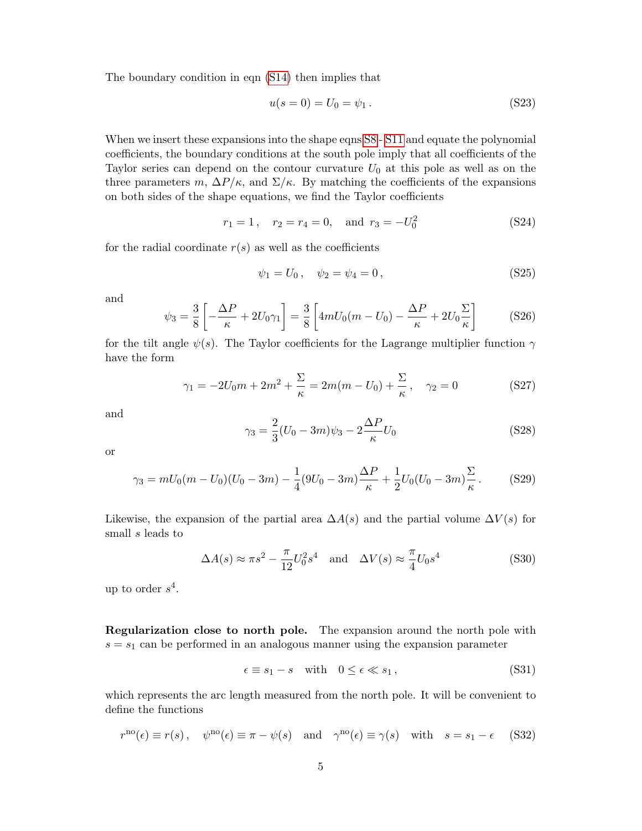The boundary condition in eqn [\(S14\)](#page-2-2) then implies that

$$
u(s = 0) = U_0 = \psi_1.
$$
 (S23)

When we insert these expansions into the shape eqns  $S_8$  - S<sub>11</sub> and equate the polynomial coefficients, the boundary conditions at the south pole imply that all coefficients of the Taylor series can depend on the contour curvature  $U_0$  at this pole as well as on the three parameters m,  $\Delta P/\kappa$ , and  $\Sigma/\kappa$ . By matching the coefficients of the expansions on both sides of the shape equations, we find the Taylor coefficients

$$
r_1 = 1, \quad r_2 = r_4 = 0, \quad \text{and} \quad r_3 = -U_0^2 \tag{S24}
$$

for the radial coordinate  $r(s)$  as well as the coefficients

<span id="page-4-0"></span>
$$
\psi_1 = U_0 \,, \quad \psi_2 = \psi_4 = 0 \,, \tag{S25}
$$

and

<span id="page-4-1"></span>
$$
\psi_3 = \frac{3}{8} \left[ -\frac{\Delta P}{\kappa} + 2U_0 \gamma_1 \right] = \frac{3}{8} \left[ 4mU_0(m - U_0) - \frac{\Delta P}{\kappa} + 2U_0 \frac{\Sigma}{\kappa} \right] \tag{S26}
$$

for the tilt angle  $\psi(s)$ . The Taylor coefficients for the Lagrange multiplier function  $\gamma$ have the form

$$
\gamma_1 = -2U_0m + 2m^2 + \frac{\Sigma}{\kappa} = 2m(m - U_0) + \frac{\Sigma}{\kappa}, \quad \gamma_2 = 0 \tag{S27}
$$

and

$$
\gamma_3 = \frac{2}{3}(U_0 - 3m)\psi_3 - 2\frac{\Delta P}{\kappa}U_0
$$
 (S28)

or

<span id="page-4-2"></span>
$$
\gamma_3 = mU_0(m - U_0)(U_0 - 3m) - \frac{1}{4}(9U_0 - 3m)\frac{\Delta P}{\kappa} + \frac{1}{2}U_0(U_0 - 3m)\frac{\Sigma}{\kappa}.
$$
 (S29)

Likewise, the expansion of the partial area  $\Delta A(s)$  and the partial volume  $\Delta V(s)$  for small s leads to

$$
\Delta A(s) \approx \pi s^2 - \frac{\pi}{12} U_0^2 s^4 \quad \text{and} \quad \Delta V(s) \approx \frac{\pi}{4} U_0 s^4 \tag{S30}
$$

up to order  $s^4$ .

Regularization close to north pole. The expansion around the north pole with  $s = s<sub>1</sub>$  can be performed in an analogous manner using the expansion parameter

$$
\epsilon \equiv s_1 - s \quad \text{with} \quad 0 \le \epsilon \ll s_1 \,, \tag{S31}
$$

which represents the arc length measured from the north pole. It will be convenient to define the functions

$$
r^{\text{no}}(\epsilon) \equiv r(s), \quad \psi^{\text{no}}(\epsilon) \equiv \pi - \psi(s) \quad \text{and} \quad \gamma^{\text{no}}(\epsilon) \equiv \gamma(s) \quad \text{with} \quad s = s_1 - \epsilon \quad (S32)
$$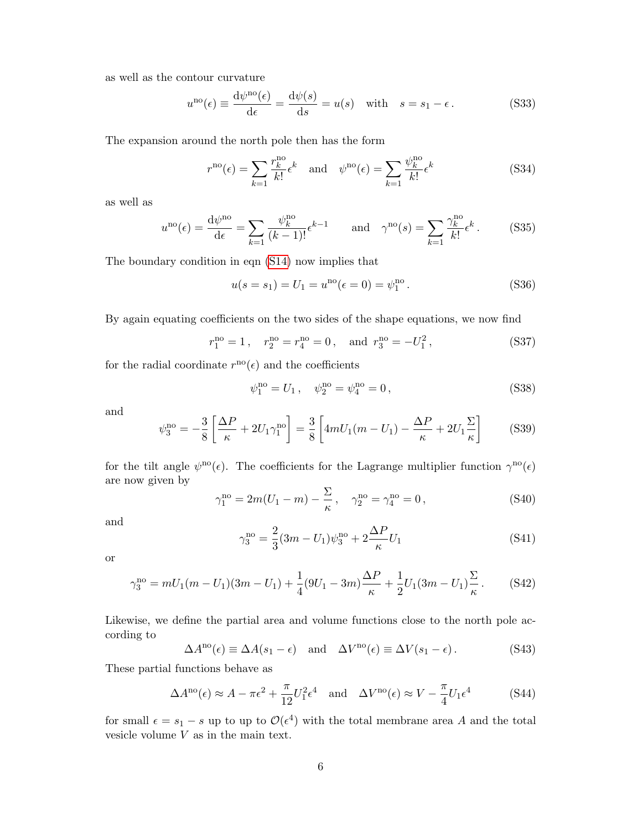as well as the contour curvature

$$
u^{no}(\epsilon) \equiv \frac{d\psi^{no}(\epsilon)}{d\epsilon} = \frac{d\psi(s)}{ds} = u(s) \quad \text{with} \quad s = s_1 - \epsilon. \tag{S33}
$$

The expansion around the north pole then has the form

$$
r^{\rm no}(\epsilon) = \sum_{k=1} \frac{r_k^{\rm no}}{k!} \epsilon^k \quad \text{and} \quad \psi^{\rm no}(\epsilon) = \sum_{k=1} \frac{\psi_k^{\rm no}}{k!} \epsilon^k \tag{S34}
$$

as well as

$$
u^{\rm no}(\epsilon) = \frac{\mathrm{d}\psi^{\rm no}}{\mathrm{d}\epsilon} = \sum_{k=1}^{\infty} \frac{\psi_k^{\rm no}}{(k-1)!} \epsilon^{k-1} \quad \text{and} \quad \gamma^{\rm no}(s) = \sum_{k=1}^{\infty} \frac{\gamma_k^{\rm no}}{k!} \epsilon^k. \tag{S35}
$$

The boundary condition in eqn [\(S14\)](#page-2-2) now implies that

$$
u(s = s_1) = U_1 = uno(\epsilon = 0) = \psi_1no.
$$
 (S36)

By again equating coefficients on the two sides of the shape equations, we now find

$$
r_1^{\text{no}} = 1
$$
,  $r_2^{\text{no}} = r_4^{\text{no}} = 0$ , and  $r_3^{\text{no}} = -U_1^2$ , (S37)

for the radial coordinate  $r^{\text{no}}(\epsilon)$  and the coefficients

<span id="page-5-0"></span>
$$
\psi_1^{\rm no} = U_1 \,, \quad \psi_2^{\rm no} = \psi_4^{\rm no} = 0 \,, \tag{S38}
$$

and

<span id="page-5-1"></span>
$$
\psi_3^{\rm no} = -\frac{3}{8} \left[ \frac{\Delta P}{\kappa} + 2U_1 \gamma_1^{\rm no} \right] = \frac{3}{8} \left[ 4mU_1(m - U_1) - \frac{\Delta P}{\kappa} + 2U_1 \frac{\Sigma}{\kappa} \right] \tag{S39}
$$

for the tilt angle  $\psi^{\rm no}(\epsilon)$ . The coefficients for the Lagrange multiplier function  $\gamma^{\rm no}(\epsilon)$ are now given by

$$
\gamma_1^{\rm no} = 2m(U_1 - m) - \frac{\Sigma}{\kappa}, \quad \gamma_2^{\rm no} = \gamma_4^{\rm no} = 0, \tag{S40}
$$

and

$$
\gamma_3^{\rm no} = \frac{2}{3}(3m - U_1)\psi_3^{\rm no} + 2\frac{\Delta P}{\kappa}U_1\tag{S41}
$$

or

$$
\gamma_3^{\rm no} = mU_1(m - U_1)(3m - U_1) + \frac{1}{4}(9U_1 - 3m)\frac{\Delta P}{\kappa} + \frac{1}{2}U_1(3m - U_1)\frac{\Sigma}{\kappa}.
$$
 (S42)

Likewise, we define the partial area and volume functions close to the north pole according to

$$
\Delta A^{\text{no}}(\epsilon) \equiv \Delta A(s_1 - \epsilon) \quad \text{and} \quad \Delta V^{\text{no}}(\epsilon) \equiv \Delta V(s_1 - \epsilon). \tag{S43}
$$

These partial functions behave as

<span id="page-5-2"></span>
$$
\Delta A^{\text{no}}(\epsilon) \approx A - \pi \epsilon^2 + \frac{\pi}{12} U_1^2 \epsilon^4 \quad \text{and} \quad \Delta V^{\text{no}}(\epsilon) \approx V - \frac{\pi}{4} U_1 \epsilon^4 \tag{S44}
$$

for small  $\epsilon = s_1 - s$  up to  $\mathcal{O}(\epsilon^4)$  with the total membrane area A and the total vesicle volume  $V$  as in the main text.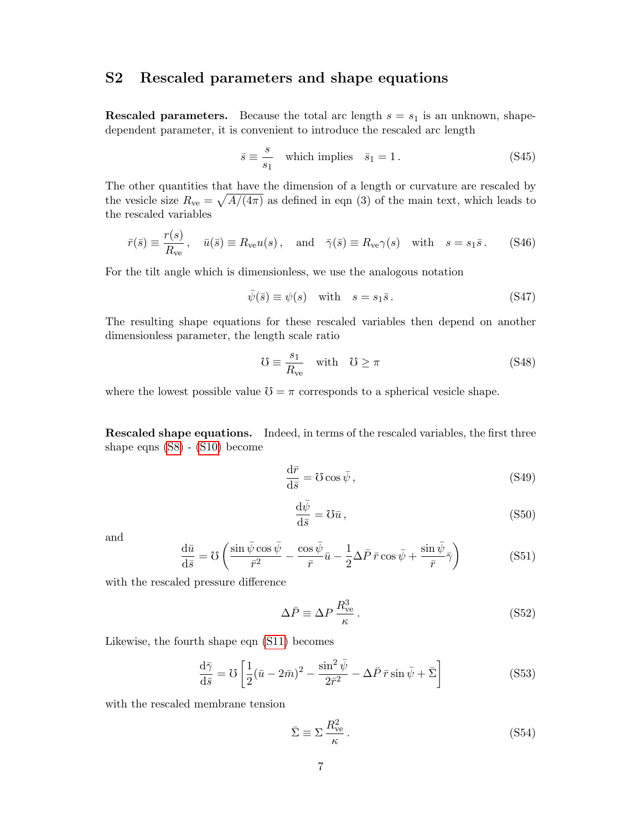## <span id="page-6-0"></span>S2 Rescaled parameters and shape equations

**Rescaled parameters.** Because the total arc length  $s = s_1$  is an unknown, shapedependent parameter, it is convenient to introduce the rescaled arc length

$$
\bar{s} \equiv \frac{s}{s_1} \quad \text{which implies} \quad \bar{s}_1 = 1. \tag{S45}
$$

The other quantities that have the dimension of a length or curvature are rescaled by the vesicle size  $R_{ve} = \sqrt{A/(4\pi)}$  as defined in eqn (3) of the main text, which leads to the rescaled variables

$$
\bar{r}(\bar{s}) \equiv \frac{r(s)}{R_{\rm ve}}, \quad \bar{u}(\bar{s}) \equiv R_{\rm ve}u(s) \,, \quad \text{and} \quad \bar{\gamma}(\bar{s}) \equiv R_{\rm ve}\gamma(s) \quad \text{with} \quad s = s_1\bar{s} \,. \tag{S46}
$$

For the tilt angle which is dimensionless, we use the analogous notation

$$
\bar{\psi}(\bar{s}) \equiv \psi(s) \quad \text{with} \quad s = s_1 \bar{s} \,. \tag{S47}
$$

The resulting shape equations for these rescaled variables then depend on another dimensionless parameter, the length scale ratio

$$
\mathcal{U} \equiv \frac{s_1}{R_{\rm ve}} \quad \text{with} \quad \mathcal{U} \ge \pi \tag{S48}
$$

where the lowest possible value  $\mathcal{V} = \pi$  corresponds to a spherical vesicle shape.

Rescaled shape equations. Indeed, in terms of the rescaled variables, the first three shape eqns [\(S8\)](#page-2-3) - [\(S10\)](#page-2-0) become

<span id="page-6-3"></span>
$$
\frac{\mathrm{d}\bar{r}}{\mathrm{d}\bar{s}} = \mathcal{U}\cos\bar{\psi},\tag{S49}
$$

<span id="page-6-4"></span>
$$
\frac{\mathrm{d}\bar{\psi}}{\mathrm{d}\bar{s}} = \mathbb{U}\bar{u},\tag{S50}
$$

and

<span id="page-6-5"></span>
$$
\frac{\mathrm{d}\bar{u}}{\mathrm{d}\bar{s}} = \mathcal{U}\left(\frac{\sin\bar{\psi}\cos\bar{\psi}}{\bar{r}^2} - \frac{\cos\bar{\psi}}{\bar{r}}\bar{u} - \frac{1}{2}\Delta\bar{P}\,\bar{r}\cos\bar{\psi} + \frac{\sin\bar{\psi}}{\bar{r}}\bar{\gamma}\right) \tag{S51}
$$

with the rescaled pressure difference

<span id="page-6-1"></span>
$$
\Delta \bar{P} \equiv \Delta P \, \frac{R_{\rm ve}^3}{\kappa} \,. \tag{S52}
$$

Likewise, the fourth shape eqn [\(S11\)](#page-2-1) becomes

<span id="page-6-6"></span>
$$
\frac{\mathrm{d}\bar{\gamma}}{\mathrm{d}\bar{s}} = \mathrm{U}\left[\frac{1}{2}(\bar{u} - 2\bar{m})^2 - \frac{\sin^2\bar{\psi}}{2\bar{r}^2} - \Delta\bar{P}\,\bar{r}\sin\bar{\psi} + \bar{\Sigma}\right]
$$
(S53)

with the rescaled membrane tension

<span id="page-6-2"></span>
$$
\bar{\Sigma} \equiv \Sigma \frac{R_{\rm ve}^2}{\kappa} \,. \tag{S54}
$$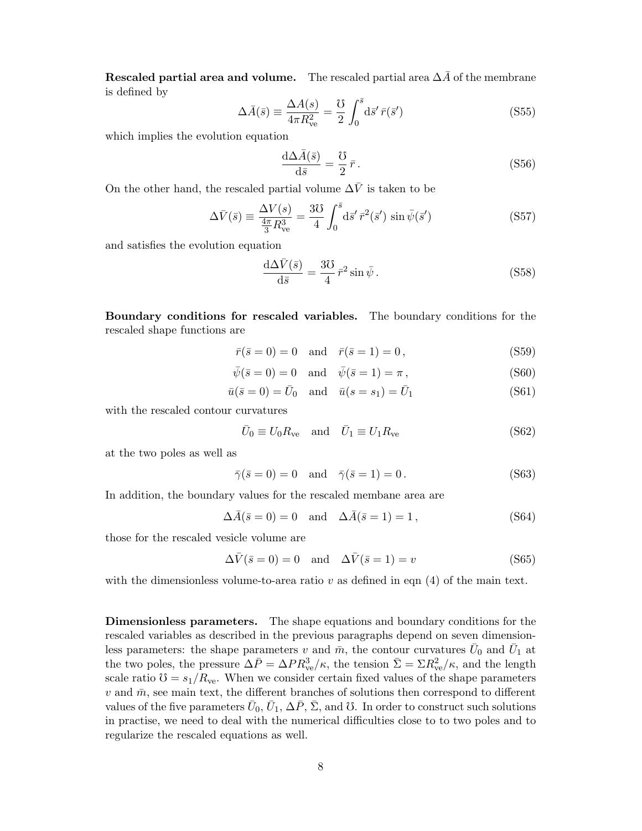Rescaled partial area and volume. The rescaled partial area  $\Delta \bar{A}$  of the membrane is defined by

<span id="page-7-0"></span>
$$
\Delta \bar{A}(\bar{s}) \equiv \frac{\Delta A(s)}{4\pi R_{ve}^2} = \frac{0}{2} \int_0^{\bar{s}} d\bar{s}' \,\bar{r}(\bar{s}') \tag{S55}
$$

which implies the evolution equation

<span id="page-7-2"></span>
$$
\frac{\mathrm{d}\Delta\bar{A}(\bar{s})}{\mathrm{d}\bar{s}} = \frac{\mathrm{U}}{2}\,\bar{r} \,. \tag{S56}
$$

On the other hand, the rescaled partial volume  $\Delta \bar{V}$  is taken to be

<span id="page-7-1"></span>
$$
\Delta \bar{V}(\bar{s}) \equiv \frac{\Delta V(s)}{\frac{4\pi}{3}R_{ve}^3} = \frac{3\text{U}}{4} \int_0^{\bar{s}} d\bar{s}' \,\bar{r}^2(\bar{s}') \sin \bar{\psi}(\bar{s}')
$$
 (S57)

and satisfies the evolution equation

<span id="page-7-3"></span>
$$
\frac{\mathrm{d}\Delta\bar{V}(\bar{s})}{\mathrm{d}\bar{s}} = \frac{3\mathrm{U}}{4}\,\bar{r}^2\sin\bar{\psi} \,. \tag{S58}
$$

Boundary conditions for rescaled variables. The boundary conditions for the rescaled shape functions are

$$
\bar{r}(\bar{s} = 0) = 0
$$
 and  $\bar{r}(\bar{s} = 1) = 0$ , (S59)

$$
\bar{\psi}(\bar{s}=0) = 0 \quad \text{and} \quad \bar{\psi}(\bar{s}=1) = \pi \,, \tag{S60}
$$

$$
\bar{u}(\bar{s}=0) = \bar{U}_0 \quad \text{and} \quad \bar{u}(s=s_1) = \bar{U}_1 \tag{S61}
$$

with the rescaled contour curvatures

$$
\bar{U}_0 \equiv U_0 R_{\text{ve}} \quad \text{and} \quad \bar{U}_1 \equiv U_1 R_{\text{ve}} \tag{S62}
$$

at the two poles as well as

$$
\bar{\gamma}(\bar{s}=0) = 0 \quad \text{and} \quad \bar{\gamma}(\bar{s}=1) = 0. \tag{S63}
$$

In addition, the boundary values for the rescaled membane area are

$$
\Delta \bar{A}(\bar{s}=0) = 0 \quad \text{and} \quad \Delta \bar{A}(\bar{s}=1) = 1, \tag{S64}
$$

those for the rescaled vesicle volume are

$$
\Delta \bar{V}(\bar{s} = 0) = 0 \quad \text{and} \quad \Delta \bar{V}(\bar{s} = 1) = v \tag{S65}
$$

with the dimensionless volume-to-area ratio  $v$  as defined in eqn  $(4)$  of the main text.

Dimensionless parameters. The shape equations and boundary conditions for the rescaled variables as described in the previous paragraphs depend on seven dimensionless parameters: the shape parameters v and  $\bar{m}$ , the contour curvatures  $\bar{U}_0$  and  $\bar{U}_1$  at the two poles, the pressure  $\Delta \bar{P} = \Delta P R_{ve}^3/\kappa$ , the tension  $\bar{\Sigma} = \Sigma R_{ve}^2/\kappa$ , and the length scale ratio  $\mathcal{O} = s_1/R_{\text{ve}}$ . When we consider certain fixed values of the shape parameters  $v$  and  $\bar{m}$ , see main text, the different branches of solutions then correspond to different values of the five parameters  $\bar{U}_0$ ,  $\bar{U}_1$ ,  $\Delta \bar{P}$ ,  $\bar{\Sigma}$ , and  $\bar{U}$ . In order to construct such solutions in practise, we need to deal with the numerical difficulties close to to two poles and to regularize the rescaled equations as well.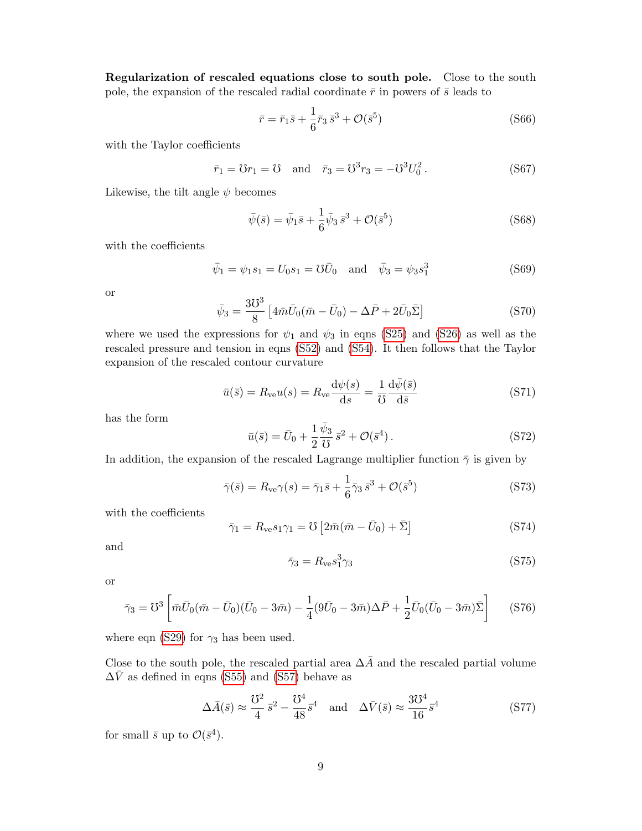Regularization of rescaled equations close to south pole. Close to the south pole, the expansion of the rescaled radial coordinate  $\bar{r}$  in powers of  $\bar{s}$  leads to

<span id="page-8-0"></span>
$$
\bar{r} = \bar{r}_1 \bar{s} + \frac{1}{6} \bar{r}_3 \bar{s}^3 + \mathcal{O}(\bar{s}^5)
$$
 (S66)

with the Taylor coefficients

$$
\bar{r}_1 = \mathbf{U}r_1 = \mathbf{U} \text{ and } \bar{r}_3 = \mathbf{U}^3r_3 = -\mathbf{U}^3U_0^2.
$$
 (S67)

Likewise, the tilt angle  $\psi$  becomes

<span id="page-8-1"></span>
$$
\bar{\psi}(\bar{s}) = \bar{\psi}_1 \bar{s} + \frac{1}{6} \bar{\psi}_3 \bar{s}^3 + \mathcal{O}(\bar{s}^5)
$$
 (S68)

with the coefficients

$$
\bar{\psi}_1 = \psi_1 s_1 = U_0 s_1 = \mathcal{U}\bar{U}_0
$$
 and  $\bar{\psi}_3 = \psi_3 s_1^3$  (S69)

or

$$
\bar{\psi}_3 = \frac{3\mathcal{U}^3}{8} \left[ 4\bar{m}\bar{U}_0(\bar{m} - \bar{U}_0) - \Delta\bar{P} + 2\bar{U}_0\bar{\Sigma} \right]
$$
(S70)

where we used the expressions for  $\psi_1$  and  $\psi_3$  in eqns [\(S25\)](#page-4-0) and [\(S26\)](#page-4-1) as well as the rescaled pressure and tension in eqns [\(S52\)](#page-6-1) and [\(S54\)](#page-6-2). It then follows that the Taylor expansion of the rescaled contour curvature

$$
\bar{u}(\bar{s}) = R_{\rm ve} u(s) = R_{\rm ve} \frac{\mathrm{d}\psi(s)}{\mathrm{d}s} = \frac{1}{\mathrm{U}} \frac{\mathrm{d}\bar{\psi}(\bar{s})}{\mathrm{d}\bar{s}} \tag{S71}
$$

has the form

<span id="page-8-2"></span>
$$
\bar{u}(\bar{s}) = \bar{U}_0 + \frac{1}{2} \frac{\bar{\psi}_3}{\mathcal{O}} \bar{s}^2 + \mathcal{O}(\bar{s}^4) \,. \tag{S72}
$$

In addition, the expansion of the rescaled Lagrange multiplier function  $\bar{\gamma}$  is given by

<span id="page-8-3"></span>
$$
\bar{\gamma}(\bar{s}) = R_{\rm ve}\gamma(s) = \bar{\gamma}_1\bar{s} + \frac{1}{6}\bar{\gamma}_3\,\bar{s}^3 + \mathcal{O}(\bar{s}^5) \tag{S73}
$$

with the coefficients

$$
\bar{\gamma}_1 = R_{\text{ve}} s_1 \gamma_1 = \mathcal{O}\left[2\bar{m}(\bar{m} - \bar{U}_0) + \bar{\Sigma}\right]
$$
 (S74)

and

$$
\bar{\gamma}_3 = R_{\rm ve} s_1^3 \gamma_3 \tag{S75}
$$

or

$$
\bar{\gamma}_3 = \mathcal{V}^3 \left[ \bar{m}\bar{U}_0(\bar{m} - \bar{U}_0)(\bar{U}_0 - 3\bar{m}) - \frac{1}{4}(9\bar{U}_0 - 3\bar{m})\Delta \bar{P} + \frac{1}{2}\bar{U}_0(\bar{U}_0 - 3\bar{m})\bar{\Sigma} \right]
$$
(S76)

where eqn [\(S29\)](#page-4-2) for  $\gamma_3$  has been used.

Close to the south pole, the rescaled partial area  $\Delta \bar{A}$  and the rescaled partial volume  $\Delta \bar{V}$  as defined in eqns [\(S55\)](#page-7-0) and [\(S57\)](#page-7-1) behave as

<span id="page-8-4"></span>
$$
\Delta \bar{A}(\bar{s}) \approx \frac{\mathcal{O}^2}{4} \bar{s}^2 - \frac{\mathcal{O}^4}{48} \bar{s}^4 \quad \text{and} \quad \Delta \bar{V}(\bar{s}) \approx \frac{3\mathcal{O}^4}{16} \bar{s}^4 \tag{S77}
$$

for small  $\bar{s}$  up to  $\mathcal{O}(\bar{s}^4)$ .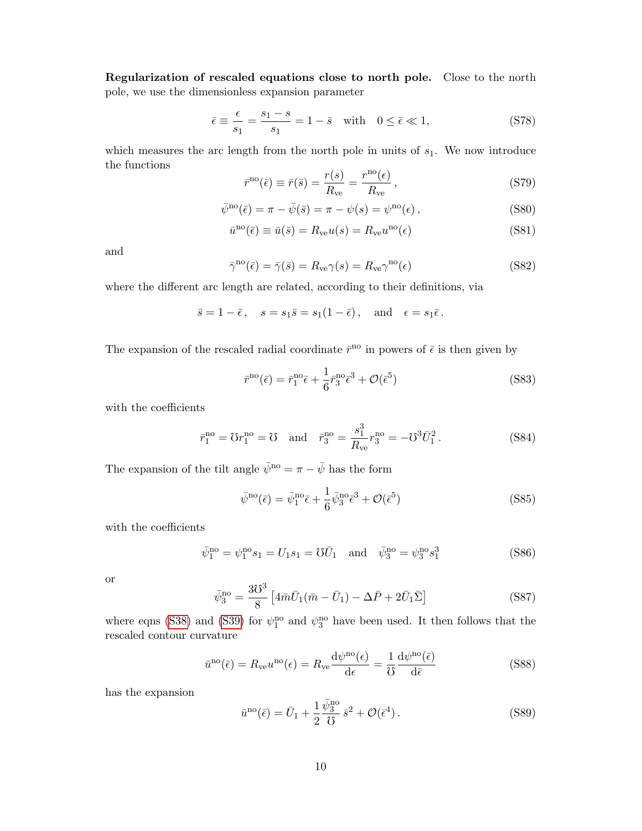Regularization of rescaled equations close to north pole. Close to the north pole, we use the dimensionless expansion parameter

$$
\bar{\epsilon} \equiv \frac{\epsilon}{s_1} = \frac{s_1 - s}{s_1} = 1 - \bar{s} \quad \text{with} \quad 0 \le \bar{\epsilon} \ll 1,
$$
\n
$$
(S78)
$$

which measures the arc length from the north pole in units of  $s<sub>1</sub>$ . We now introduce the functions

$$
\bar{r}^{\rm no}(\bar{\epsilon}) \equiv \bar{r}(\bar{s}) = \frac{r(s)}{R_{\rm ve}} = \frac{r^{\rm no}(\epsilon)}{R_{\rm ve}},\qquad (S79)
$$

$$
\bar{\psi}^{\rm no}(\bar{\epsilon}) = \pi - \bar{\psi}(\bar{s}) = \pi - \psi(s) = \psi^{\rm no}(\epsilon), \qquad (S80)
$$

$$
\bar{u}^{\rm no}(\bar{\epsilon}) \equiv \bar{u}(\bar{s}) = R_{\rm ve} u(s) = R_{\rm ve} u^{\rm no}(\epsilon)
$$
\n(S81)

and

$$
\bar{\gamma}^{\rm no}(\bar{\epsilon}) = \bar{\gamma}(\bar{s}) = R_{\rm ve}\gamma(s) = R_{\rm ve}\gamma^{\rm no}(\epsilon)
$$
\n(S82)

where the different arc length are related, according to their definitions, via

$$
\bar{s} = 1 - \bar{\epsilon}
$$
,  $s = s_1 \bar{s} = s_1 (1 - \bar{\epsilon})$ , and  $\epsilon = s_1 \bar{\epsilon}$ .

The expansion of the rescaled radial coordinate  $\bar{r}^{\text{no}}$  in powers of  $\bar{\epsilon}$  is then given by

<span id="page-9-0"></span>
$$
\bar{r}^{\rm no}(\bar{\epsilon}) = \bar{r}_1^{\rm no}\bar{\epsilon} + \frac{1}{6}\bar{r}_3^{\rm no}\bar{\epsilon}^3 + \mathcal{O}(\bar{\epsilon}^5)
$$
 (S83)

with the coefficients

$$
\bar{r}_1^{\text{no}} = \mathcal{O}r_1^{\text{no}} = \mathcal{O} \text{ and } \bar{r}_3^{\text{no}} = \frac{s_1^3}{R_{\text{ve}}}r_3^{\text{no}} = -\mathcal{O}^3\bar{U}_1^2.
$$
\n(S84)

The expansion of the tilt angle  $\bar\psi^{\mathrm{no}}=\pi-\bar\psi$  has the form

<span id="page-9-1"></span>
$$
\bar{\psi}^{\rm no}(\bar{\epsilon}) = \bar{\psi}_1^{\rm no}\bar{\epsilon} + \frac{1}{6}\bar{\psi}_3^{\rm no}\bar{\epsilon}^3 + \mathcal{O}(\bar{\epsilon}^5)
$$
\n(S85)

with the coefficients

$$
\bar{\psi}_1^{\text{no}} = \psi_1^{\text{no}} s_1 = U_1 s_1 = \mathcal{U} \bar{U}_1 \text{ and } \bar{\psi}_3^{\text{no}} = \psi_3^{\text{no}} s_1^3
$$
\n(S86)

or

$$
\bar{\psi}_3^{\text{no}} = \frac{3\mathcal{U}^3}{8} \left[ 4\bar{m}\bar{U}_1(\bar{m} - \bar{U}_1) - \Delta\bar{P} + 2\bar{U}_1\bar{\Sigma} \right]
$$
(S87)

where eqns [\(S38\)](#page-5-0) and [\(S39\)](#page-5-1) for  $\psi_1^{\text{no}}$  and  $\psi_3^{\text{no}}$  have been used. It then follows that the rescaled contour curvature

$$
\bar{u}^{\rm no}(\bar{\epsilon}) = R_{\rm ve} u^{\rm no}(\epsilon) = R_{\rm ve} \frac{\mathrm{d} \psi^{\rm no}(\epsilon)}{\mathrm{d} \epsilon} = \frac{1}{\mathcal{V}} \frac{\mathrm{d} \psi^{\rm no}(\bar{\epsilon})}{\mathrm{d} \bar{\epsilon}} \tag{S88}
$$

has the expansion

<span id="page-9-2"></span>
$$
\bar{u}^{\rm no}(\bar{\epsilon}) = \bar{U}_1 + \frac{1}{2} \frac{\bar{\psi}_3^{\rm no}}{\mathcal{V}} \bar{s}^2 + \mathcal{O}(\bar{\epsilon}^4). \tag{S89}
$$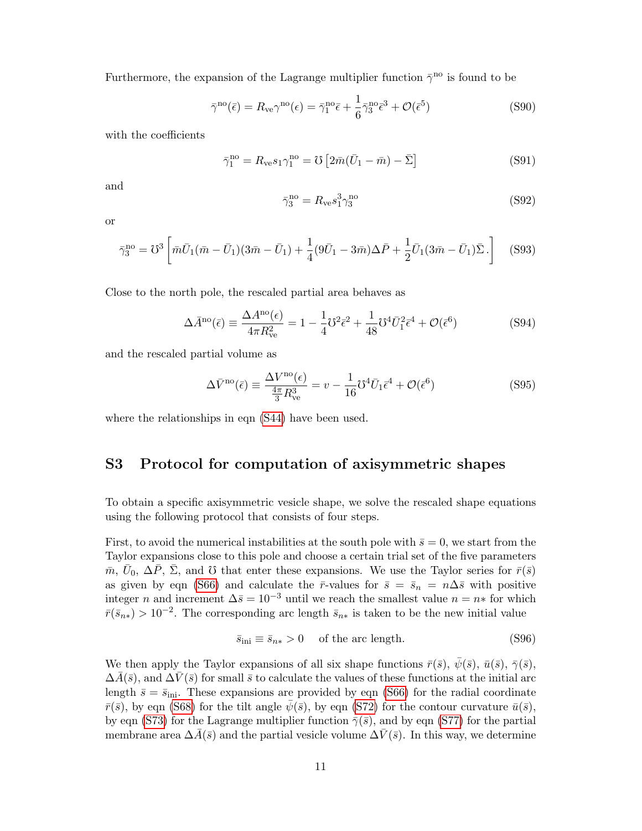Furthermore, the expansion of the Lagrange multiplier function  $\bar{\gamma}^{\text{no}}$  is found to be

<span id="page-10-1"></span>
$$
\bar{\gamma}^{\rm no}(\bar{\epsilon}) = R_{\rm ve} \gamma^{\rm no}(\epsilon) = \bar{\gamma}_1^{\rm no} \bar{\epsilon} + \frac{1}{6} \bar{\gamma}_3^{\rm no} \bar{\epsilon}^3 + \mathcal{O}(\bar{\epsilon}^5)
$$
\n(S90)

with the coefficients

$$
\bar{\gamma}_1^{\rm no} = R_{\rm ve} s_1 \gamma_1^{\rm no} = \mathcal{V} \left[ 2\bar{m} (\bar{U}_1 - \bar{m}) - \bar{\Sigma} \right] \tag{S91}
$$

and

$$
\bar{\gamma}_3^{\rm no} = R_{\rm ve} s_1^3 \gamma_3^{\rm no} \tag{S92}
$$

or

$$
\bar{\gamma}_3^{\rm no} = \mathcal{V}^3 \left[ \bar{m} \bar{U}_1 (\bar{m} - \bar{U}_1)(3\bar{m} - \bar{U}_1) + \frac{1}{4} (9\bar{U}_1 - 3\bar{m}) \Delta \bar{P} + \frac{1}{2} \bar{U}_1 (3\bar{m} - \bar{U}_1) \bar{\Sigma} \cdot \right]
$$
(S93)

Close to the north pole, the rescaled partial area behaves as

<span id="page-10-2"></span>
$$
\Delta \bar{A}^{\text{no}}(\bar{\epsilon}) \equiv \frac{\Delta A^{\text{no}}(\epsilon)}{4\pi R_{\text{ve}}^2} = 1 - \frac{1}{4} \mathcal{V}^2 \bar{\epsilon}^2 + \frac{1}{48} \mathcal{V}^4 \bar{U}_1^2 \bar{\epsilon}^4 + \mathcal{O}(\bar{\epsilon}^6)
$$
(S94)

and the rescaled partial volume as

<span id="page-10-3"></span>
$$
\Delta \bar{V}^{\rm no}(\bar{\epsilon}) \equiv \frac{\Delta V^{\rm no}(\epsilon)}{\frac{4\pi}{3}R_{\rm ve}^3} = v - \frac{1}{16}\mathcal{O}^4 \bar{U}_1 \bar{\epsilon}^4 + \mathcal{O}(\bar{\epsilon}^6)
$$
\n(S95)

where the relationships in eqn [\(S44\)](#page-5-2) have been used.

### <span id="page-10-0"></span>S3 Protocol for computation of axisymmetric shapes

To obtain a specific axisymmetric vesicle shape, we solve the rescaled shape equations using the following protocol that consists of four steps.

First, to avoid the numerical instabilities at the south pole with  $\bar{s} = 0$ , we start from the Taylor expansions close to this pole and choose a certain trial set of the five parameters  $\bar{m}, \bar{U}_0, \Delta \bar{P}, \bar{\Sigma}$ , and  $\bar{U}$  that enter these expansions. We use the Taylor series for  $\bar{r}(\bar{s})$ as given by eqn [\(S66\)](#page-8-0) and calculate the  $\bar{r}$ -values for  $\bar{s} = \bar{s}_n = n\Delta\bar{s}$  with positive integer n and increment  $\Delta \bar{s} = 10^{-3}$  until we reach the smallest value  $n = n*$  for which  $\bar{r}(\bar{s}_{n*}) > 10^{-2}$ . The corresponding arc length  $\bar{s}_{n*}$  is taken to be the new initial value

$$
\bar{s}_{\rm ini} \equiv \bar{s}_{n*} > 0 \quad \text{of the arc length.} \tag{S96}
$$

We then apply the Taylor expansions of all six shape functions  $\bar{r}(\bar{s}), \psi(\bar{s}), \bar{u}(\bar{s}), \bar{\gamma}(\bar{s}),$  $\Delta A(\bar{s})$ , and  $\Delta V(\bar{s})$  for small  $\bar{s}$  to calculate the values of these functions at the initial arc length  $\bar{s} = \bar{s}_{\text{ini}}$ . These expansions are provided by eqn [\(S66\)](#page-8-0) for the radial coordinate  $\bar{r}(\bar{s})$ , by eqn [\(S68\)](#page-8-1) for the tilt angle  $\psi(\bar{s})$ , by eqn [\(S72\)](#page-8-2) for the contour curvature  $\bar{u}(\bar{s})$ , by eqn [\(S73\)](#page-8-3) for the Lagrange multiplier function  $\bar{\gamma}(\bar{s})$ , and by eqn [\(S77\)](#page-8-4) for the partial membrane area  $\Delta A(\bar{s})$  and the partial vesicle volume  $\Delta V(\bar{s})$ . In this way, we determine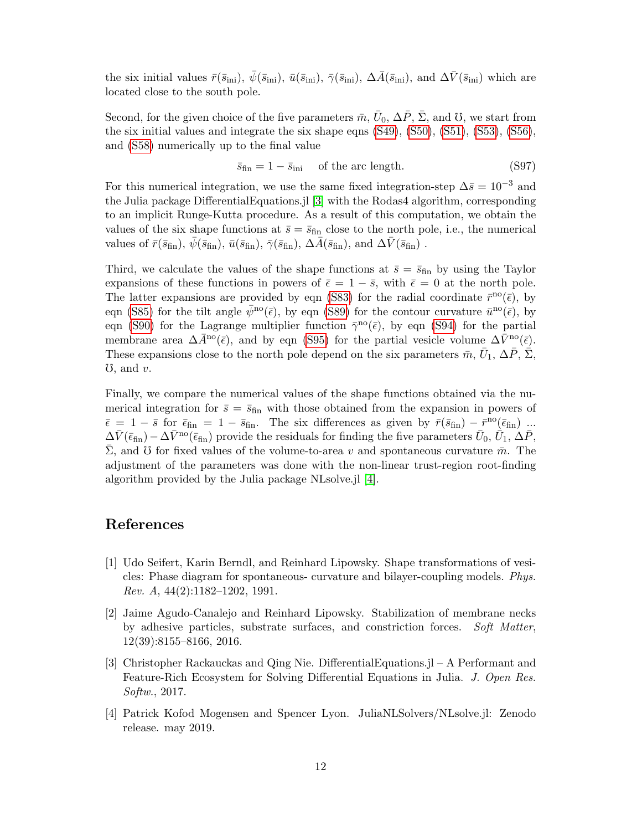the six initial values  $\bar{r}(\bar{s}_{\text{ini}}), \bar{\psi}(\bar{s}_{\text{ini}}), \bar{u}(\bar{s}_{\text{ini}}), \bar{\gamma}(\bar{s}_{\text{ini}}), \Delta \bar{A}(\bar{s}_{\text{ini}})$ , and  $\Delta \bar{V}(\bar{s}_{\text{ini}})$  which are located close to the south pole.

Second, for the given choice of the five parameters  $\bar{m}$ ,  $\bar{U}_0$ ,  $\Delta \bar{P}$ ,  $\bar{\Sigma}$ , and  $\bar{U}$ , we start from the six initial values and integrate the six shape eqns [\(S49\)](#page-6-3), [\(S50\)](#page-6-4), [\(S51\)](#page-6-5), [\(S53\)](#page-6-6), [\(S56\)](#page-7-2), and [\(S58\)](#page-7-3) numerically up to the final value

$$
\bar{s}_{\text{fin}} = 1 - \bar{s}_{\text{ini}} \quad \text{of the arc length.} \tag{S97}
$$

For this numerical integration, we use the same fixed integration-step  $\Delta \bar{s} = 10^{-3}$  and the Julia package DifferentialEquations.jl [\[3\]](#page-11-2) with the Rodas4 algorithm, corresponding to an implicit Runge-Kutta procedure. As a result of this computation, we obtain the values of the six shape functions at  $\bar{s} = \bar{s}_{fin}$  close to the north pole, i.e., the numerical values of  $\bar{r}(\bar{s}_{fin}), \bar{\psi}(\bar{s}_{fin}), \bar{u}(\bar{s}_{fin}), \bar{\gamma}(\bar{s}_{fin}), \Delta \bar{A}(\bar{s}_{fin}),$  and  $\Delta \bar{V}(\bar{s}_{fin})$ .

Third, we calculate the values of the shape functions at  $\bar{s} = \bar{s}_{fin}$  by using the Taylor expansions of these functions in powers of  $\bar{\epsilon} = 1 - \bar{s}$ , with  $\bar{\epsilon} = 0$  at the north pole. The latter expansions are provided by eqn [\(S83\)](#page-9-0) for the radial coordinate  $\bar{r}^{\text{no}}(\bar{\epsilon})$ , by eqn [\(S85\)](#page-9-1) for the tilt angle  $\bar{\psi}^{no}(\bar{\epsilon})$ , by eqn [\(S89\)](#page-9-2) for the contour curvature  $\bar{u}^{no}(\bar{\epsilon})$ , by eqn [\(S90\)](#page-10-1) for the Lagrange multiplier function  $\bar{\gamma}^{\text{no}}(\bar{\epsilon})$ , by eqn [\(S94\)](#page-10-2) for the partial membrane area  $\Delta \bar{A}^{no}(\bar{\epsilon})$ , and by eqn [\(S95\)](#page-10-3) for the partial vesicle volume  $\Delta \bar{V}^{no}(\bar{\epsilon})$ . These expansions close to the north pole depend on the six parameters  $\bar{m}$ ,  $\bar{U}_1$ ,  $\Delta \bar{P}$ ,  $\dot{\Sigma}$ ,  $\mathfrak{V}$ , and  $v$ .

Finally, we compare the numerical values of the shape functions obtained via the numerical integration for  $\bar{s} = \bar{s}_{fin}$  with those obtained from the expansion in powers of  $\bar{\epsilon} = 1 - \bar{s}$  for  $\bar{\epsilon}_{fin} = 1 - \bar{s}_{fin}$ . The six differences as given by  $\bar{r}(\bar{s}_{fin}) - \bar{r}^{no}(\bar{\epsilon}_{fin})$  ...  $\Delta \bar{V}(\bar{\epsilon}_{\rm fin}) - \Delta \bar{V}^{\rm no}(\bar{\epsilon}_{\rm fin})$  provide the residuals for finding the five parameters  $\bar{U}_0$ ,  $\dot{\bar{U}}_1$ ,  $\Delta \bar{P}$ ,  $\bar{\Sigma}$ , and  $\bar{U}$  for fixed values of the volume-to-area v and spontaneous curvature  $\bar{m}$ . The adjustment of the parameters was done with the non-linear trust-region root-finding algorithm provided by the Julia package NLsolve.jl [\[4\]](#page-11-3).

### References

- <span id="page-11-0"></span>[1] Udo Seifert, Karin Berndl, and Reinhard Lipowsky. Shape transformations of vesicles: Phase diagram for spontaneous- curvature and bilayer-coupling models. Phys. Rev. A, 44(2):1182–1202, 1991.
- <span id="page-11-1"></span>[2] Jaime Agudo-Canalejo and Reinhard Lipowsky. Stabilization of membrane necks by adhesive particles, substrate surfaces, and constriction forces. Soft Matter, 12(39):8155–8166, 2016.
- <span id="page-11-2"></span>[3] Christopher Rackauckas and Qing Nie. DifferentialEquations.jl – A Performant and Feature-Rich Ecosystem for Solving Differential Equations in Julia. J. Open Res. Softw., 2017.
- <span id="page-11-3"></span>[4] Patrick Kofod Mogensen and Spencer Lyon. JuliaNLSolvers/NLsolve.jl: Zenodo release. may 2019.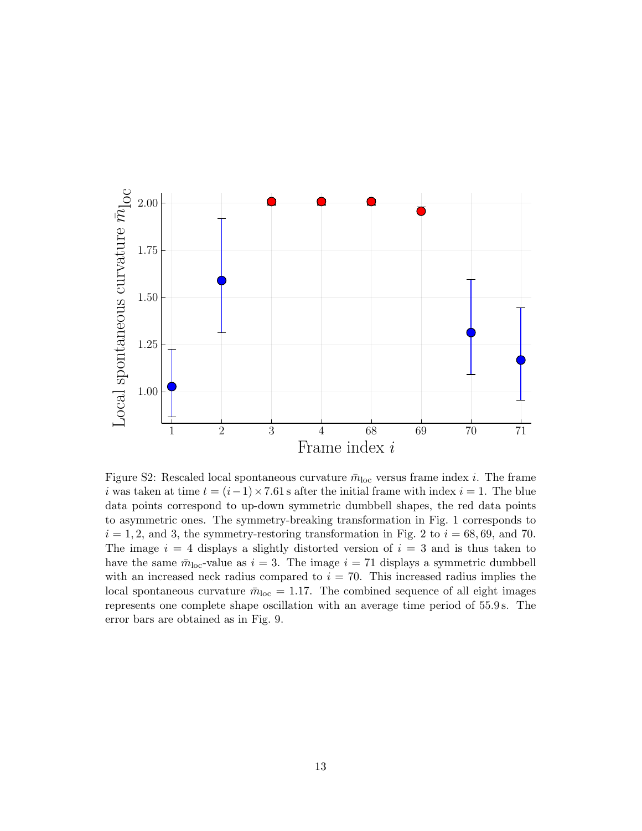<span id="page-12-0"></span>

Figure S2: Rescaled local spontaneous curvature  $\bar{m}_{\text{loc}}$  versus frame index *i*. The frame i was taken at time  $t = (i-1) \times 7.61$  s after the initial frame with index  $i = 1$ . The blue data points correspond to up-down symmetric dumbbell shapes, the red data points to asymmetric ones. The symmetry-breaking transformation in Fig. 1 corresponds to  $i = 1, 2$ , and 3, the symmetry-restoring transformation in Fig. 2 to  $i = 68, 69$ , and 70. The image  $i = 4$  displays a slightly distorted version of  $i = 3$  and is thus taken to have the same  $\bar{m}_{\text{loc}}$ -value as  $i = 3$ . The image  $i = 71$  displays a symmetric dumbbell with an increased neck radius compared to  $i = 70$ . This increased radius implies the local spontaneous curvature  $\bar{m}_{\text{loc}} = 1.17$ . The combined sequence of all eight images represents one complete shape oscillation with an average time period of 55.9 s. The error bars are obtained as in Fig. 9.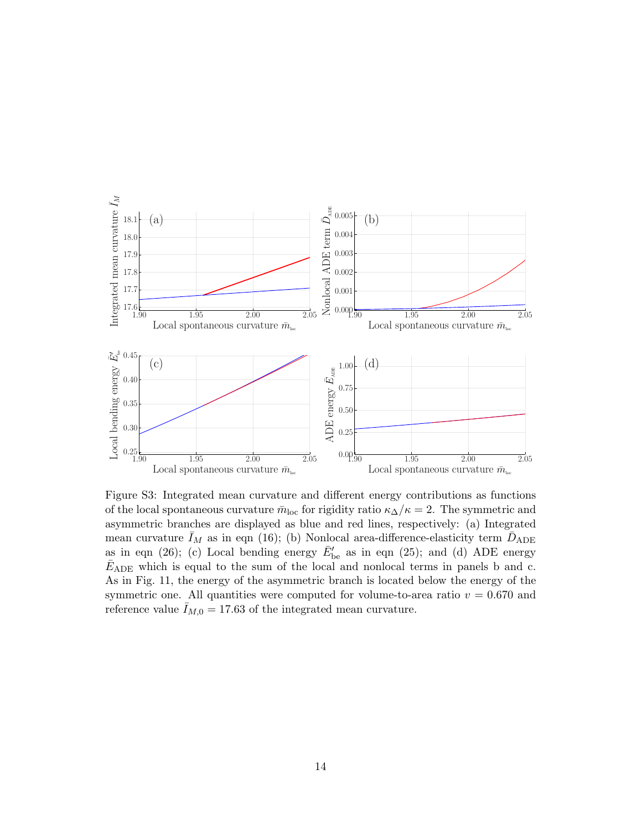<span id="page-13-0"></span>

Figure S3: Integrated mean curvature and different energy contributions as functions of the local spontaneous curvature  $\bar{m}_{\text{loc}}$  for rigidity ratio  $\kappa_{\Delta}/\kappa = 2$ . The symmetric and asymmetric branches are displayed as blue and red lines, respectively: (a) Integrated mean curvature  $\bar{I}_M$  as in eqn (16); (b) Nonlocal area-difference-elasticity term  $\bar{D}_{ADE}$ as in eqn (26); (c) Local bending energy  $\bar{E}_{\text{be}}'$  as in eqn (25); and (d) ADE energy  $\bar{E}_{ADE}$  which is equal to the sum of the local and nonlocal terms in panels b and c. As in Fig. 11, the energy of the asymmetric branch is located below the energy of the symmetric one. All quantities were computed for volume-to-area ratio  $v = 0.670$  and reference value  $I_{M,0} = 17.63$  of the integrated mean curvature.